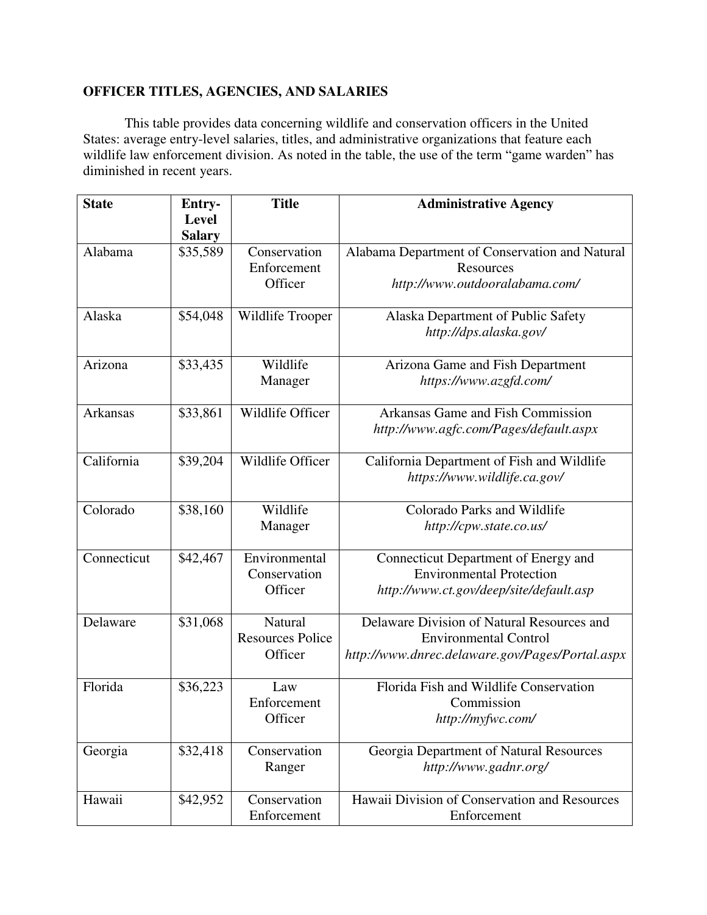## **OFFICER TITLES, AGENCIES, AND SALARIES**

 This table provides data concerning wildlife and conservation officers in the United States: average entry-level salaries, titles, and administrative organizations that feature each wildlife law enforcement division. As noted in the table, the use of the term "game warden" has diminished in recent years.

| <b>State</b> | Entry-        | <b>Title</b>            | <b>Administrative Agency</b>                    |
|--------------|---------------|-------------------------|-------------------------------------------------|
|              | <b>Level</b>  |                         |                                                 |
|              | <b>Salary</b> |                         |                                                 |
| Alabama      | \$35,589      | Conservation            | Alabama Department of Conservation and Natural  |
|              |               | Enforcement             | Resources                                       |
|              |               | Officer                 | http://www.outdooralabama.com/                  |
| Alaska       | \$54,048      | Wildlife Trooper        | Alaska Department of Public Safety              |
|              |               |                         | http://dps.alaska.gov/                          |
| Arizona      | \$33,435      | Wildlife                | Arizona Game and Fish Department                |
|              |               | Manager                 | https://www.azgfd.com/                          |
| Arkansas     | \$33,861      | Wildlife Officer        | Arkansas Game and Fish Commission               |
|              |               |                         | http://www.agfc.com/Pages/default.aspx          |
| California   | \$39,204      | Wildlife Officer        | California Department of Fish and Wildlife      |
|              |               |                         | https://www.wildlife.ca.gov/                    |
| Colorado     | \$38,160      | Wildlife                | Colorado Parks and Wildlife                     |
|              |               | Manager                 | http://cpw.state.co.us/                         |
| Connecticut  | \$42,467      | Environmental           | Connecticut Department of Energy and            |
|              |               | Conservation            | <b>Environmental Protection</b>                 |
|              |               | Officer                 | http://www.ct.gov/deep/site/default.asp         |
| Delaware     | \$31,068      | Natural                 | Delaware Division of Natural Resources and      |
|              |               | <b>Resources Police</b> | <b>Environmental Control</b>                    |
|              |               | Officer                 | http://www.dnrec.delaware.gov/Pages/Portal.aspx |
| Florida      | \$36,223      | Law                     | Florida Fish and Wildlife Conservation          |
|              |               | Enforcement             | Commission                                      |
|              |               | Officer                 | http://myfwc.com/                               |
| Georgia      | \$32,418      | Conservation            | Georgia Department of Natural Resources         |
|              |               | Ranger                  | http://www.gadnr.org/                           |
| Hawaii       | \$42,952      | Conservation            | Hawaii Division of Conservation and Resources   |
|              |               | Enforcement             | Enforcement                                     |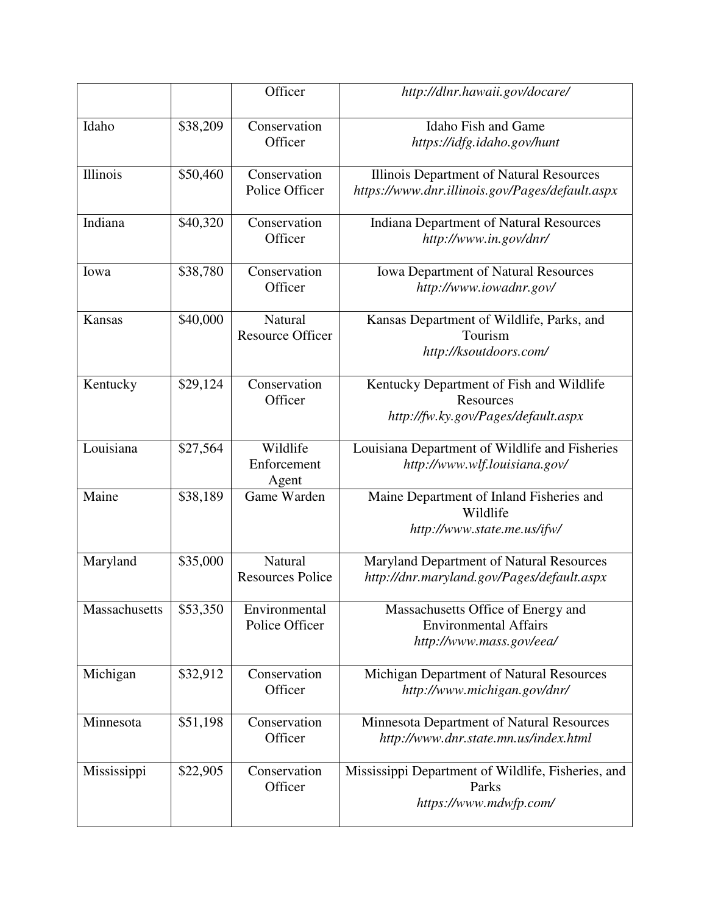|                      |          | Officer                            | http://dlnr.hawaii.gov/docare/                                                                 |
|----------------------|----------|------------------------------------|------------------------------------------------------------------------------------------------|
| Idaho                | \$38,209 | Conservation<br>Officer            | <b>Idaho Fish and Game</b><br>https://idfg.idaho.gov/hunt                                      |
| Illinois             | \$50,460 | Conservation<br>Police Officer     | Illinois Department of Natural Resources<br>https://www.dnr.illinois.gov/Pages/default.aspx    |
| Indiana              | \$40,320 | Conservation<br>Officer            | <b>Indiana Department of Natural Resources</b><br>http://www.in.gov/dnr/                       |
| Iowa                 | \$38,780 | Conservation<br>Officer            | <b>Iowa Department of Natural Resources</b><br>http://www.iowadnr.gov/                         |
| Kansas               | \$40,000 | Natural<br><b>Resource Officer</b> | Kansas Department of Wildlife, Parks, and<br>Tourism<br>http://ksoutdoors.com/                 |
| Kentucky             | \$29,124 | Conservation<br>Officer            | Kentucky Department of Fish and Wildlife<br>Resources<br>http://fw.ky.gov/Pages/default.aspx   |
| Louisiana            | \$27,564 | Wildlife<br>Enforcement<br>Agent   | Louisiana Department of Wildlife and Fisheries<br>http://www.wlf.louisiana.gov/                |
| Maine                | \$38,189 | Game Warden                        | Maine Department of Inland Fisheries and<br>Wildlife<br>http://www.state.me.us/ifw/            |
| Maryland             | \$35,000 | Natural<br><b>Resources Police</b> | Maryland Department of Natural Resources<br>http://dnr.maryland.gov/Pages/default.aspx         |
| <b>Massachusetts</b> | \$53,350 | Environmental<br>Police Officer    | Massachusetts Office of Energy and<br><b>Environmental Affairs</b><br>http://www.mass.gov/eea/ |
| Michigan             | \$32,912 | Conservation<br>Officer            | Michigan Department of Natural Resources<br>http://www.michigan.gov/dnr/                       |
| Minnesota            | \$51,198 | Conservation<br>Officer            | Minnesota Department of Natural Resources<br>http://www.dnr.state.mn.us/index.html             |
| Mississippi          | \$22,905 | Conservation<br>Officer            | Mississippi Department of Wildlife, Fisheries, and<br>Parks<br>https://www.mdwfp.com/          |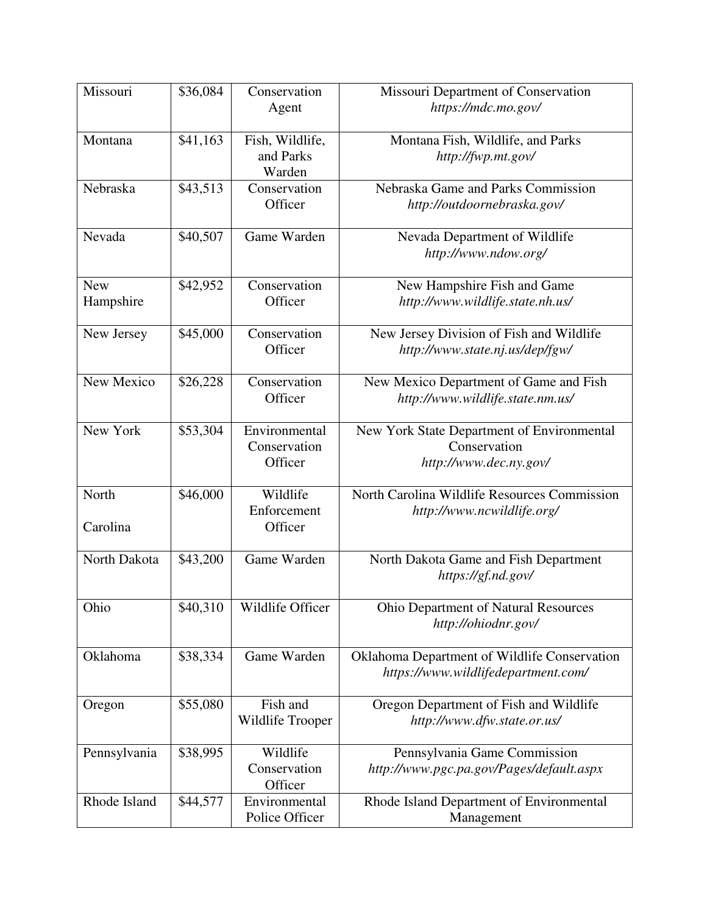| Missouri                | \$36,084 | Conservation<br>Agent                    | Missouri Department of Conservation<br>https://mdc.mo.gov/                           |
|-------------------------|----------|------------------------------------------|--------------------------------------------------------------------------------------|
|                         |          |                                          |                                                                                      |
| Montana                 | \$41,163 | Fish, Wildlife,<br>and Parks<br>Warden   | Montana Fish, Wildlife, and Parks<br>http://fwp.mt.gov/                              |
| Nebraska                | \$43,513 | Conservation<br>Officer                  | Nebraska Game and Parks Commission<br>http://outdoornebraska.gov/                    |
| Nevada                  | \$40,507 | Game Warden                              | Nevada Department of Wildlife<br>http://www.ndow.org/                                |
| <b>New</b><br>Hampshire | \$42,952 | Conservation<br>Officer                  | New Hampshire Fish and Game<br>http://www.wildlife.state.nh.us/                      |
| New Jersey              | \$45,000 | Conservation<br>Officer                  | New Jersey Division of Fish and Wildlife<br>http://www.state.nj.us/dep/fgw/          |
| New Mexico              | \$26,228 | Conservation<br>Officer                  | New Mexico Department of Game and Fish<br>http://www.wildlife.state.nm.us/           |
| New York                | \$53,304 | Environmental<br>Conservation<br>Officer | New York State Department of Environmental<br>Conservation<br>http://www.dec.ny.gov/ |
| North<br>Carolina       | \$46,000 | Wildlife<br>Enforcement<br>Officer       | North Carolina Wildlife Resources Commission<br>http://www.ncwildlife.org/           |
| North Dakota            | \$43,200 | Game Warden                              | North Dakota Game and Fish Department<br>https://gf.nd.gov/                          |
| Ohio                    | \$40,310 | Wildlife Officer                         | <b>Ohio Department of Natural Resources</b><br>http://ohiodnr.gov/                   |
| Oklahoma                | \$38,334 | Game Warden                              | Oklahoma Department of Wildlife Conservation<br>https://www.wildlifedepartment.com/  |
| Oregon                  | \$55,080 | Fish and<br>Wildlife Trooper             | Oregon Department of Fish and Wildlife<br>http://www.dfw.state.or.us/                |
| Pennsylvania            | \$38,995 | Wildlife<br>Conservation<br>Officer      | Pennsylvania Game Commission<br>http://www.pgc.pa.gov/Pages/default.aspx             |
| Rhode Island            | \$44,577 | Environmental<br>Police Officer          | Rhode Island Department of Environmental<br>Management                               |